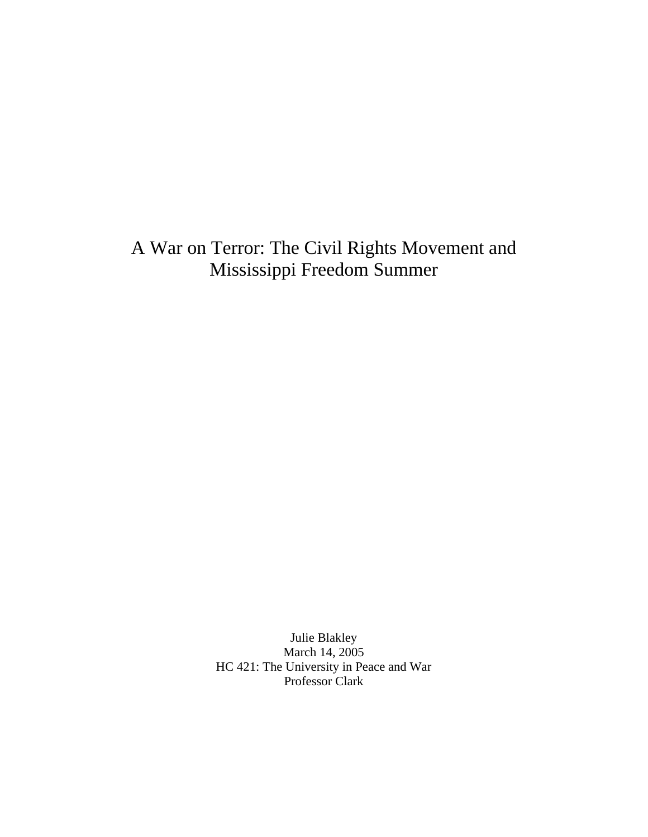# A War on Terror: The Civil Rights Movement and Mississippi Freedom Summer

Julie Blakley March 14, 2005 HC 421: The University in Peace and War Professor Clark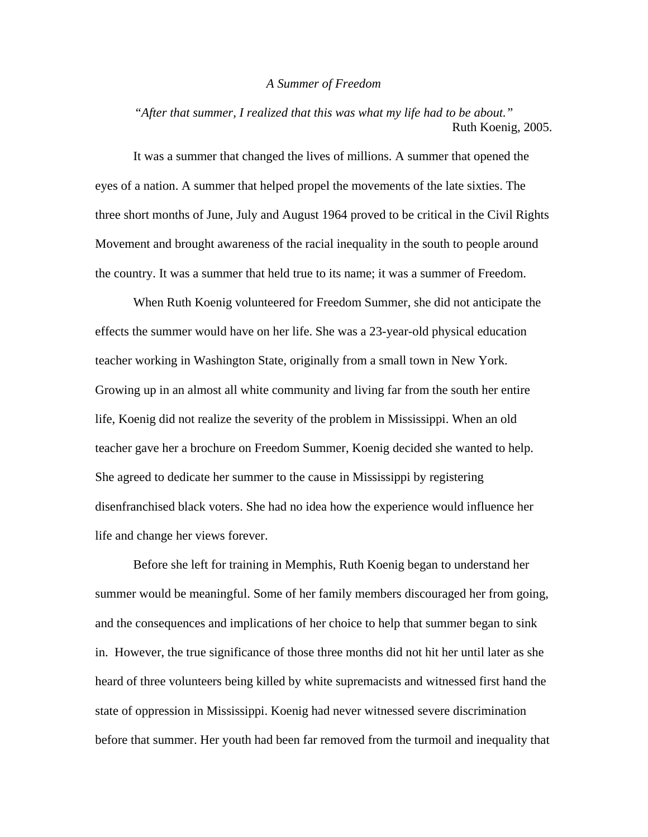#### *A Summer of Freedom*

*"After that summer, I realized that this was what my life had to be about."*  Ruth Koenig, 2005.

 It was a summer that changed the lives of millions. A summer that opened the eyes of a nation. A summer that helped propel the movements of the late sixties. The three short months of June, July and August 1964 proved to be critical in the Civil Rights Movement and brought awareness of the racial inequality in the south to people around the country. It was a summer that held true to its name; it was a summer of Freedom.

 When Ruth Koenig volunteered for Freedom Summer, she did not anticipate the effects the summer would have on her life. She was a 23-year-old physical education teacher working in Washington State, originally from a small town in New York. Growing up in an almost all white community and living far from the south her entire life, Koenig did not realize the severity of the problem in Mississippi. When an old teacher gave her a brochure on Freedom Summer, Koenig decided she wanted to help. She agreed to dedicate her summer to the cause in Mississippi by registering disenfranchised black voters. She had no idea how the experience would influence her life and change her views forever.

 Before she left for training in Memphis, Ruth Koenig began to understand her summer would be meaningful. Some of her family members discouraged her from going, and the consequences and implications of her choice to help that summer began to sink in. However, the true significance of those three months did not hit her until later as she heard of three volunteers being killed by white supremacists and witnessed first hand the state of oppression in Mississippi. Koenig had never witnessed severe discrimination before that summer. Her youth had been far removed from the turmoil and inequality that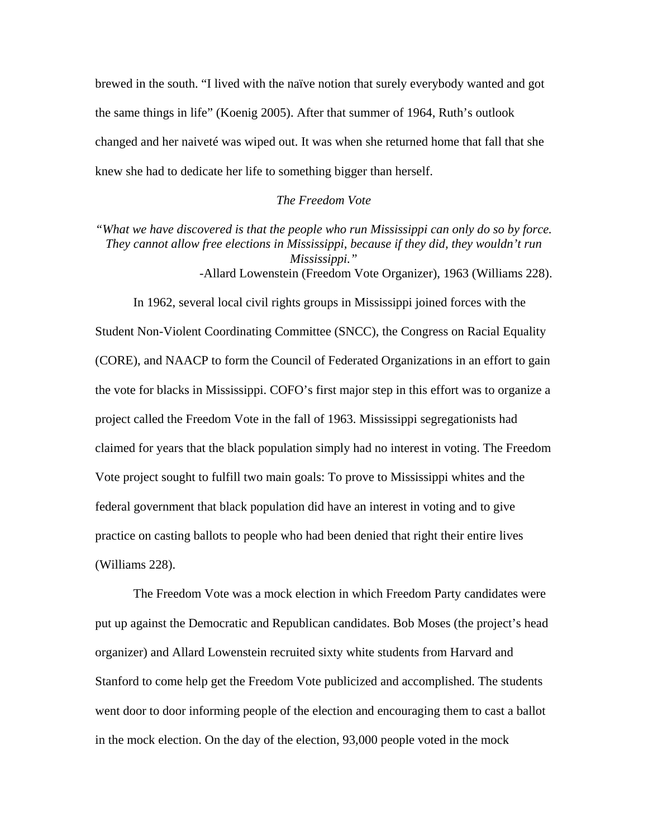brewed in the south. "I lived with the naïve notion that surely everybody wanted and got the same things in life" (Koenig 2005). After that summer of 1964, Ruth's outlook changed and her naiveté was wiped out. It was when she returned home that fall that she knew she had to dedicate her life to something bigger than herself.

## *The Freedom Vote*

*"What we have discovered is that the people who run Mississippi can only do so by force. They cannot allow free elections in Mississippi, because if they did, they wouldn't run Mississippi."*  -Allard Lowenstein (Freedom Vote Organizer), 1963 (Williams 228).

 In 1962, several local civil rights groups in Mississippi joined forces with the Student Non-Violent Coordinating Committee (SNCC), the Congress on Racial Equality (CORE), and NAACP to form the Council of Federated Organizations in an effort to gain the vote for blacks in Mississippi. COFO's first major step in this effort was to organize a project called the Freedom Vote in the fall of 1963. Mississippi segregationists had claimed for years that the black population simply had no interest in voting. The Freedom Vote project sought to fulfill two main goals: To prove to Mississippi whites and the federal government that black population did have an interest in voting and to give practice on casting ballots to people who had been denied that right their entire lives (Williams 228).

 The Freedom Vote was a mock election in which Freedom Party candidates were put up against the Democratic and Republican candidates. Bob Moses (the project's head organizer) and Allard Lowenstein recruited sixty white students from Harvard and Stanford to come help get the Freedom Vote publicized and accomplished. The students went door to door informing people of the election and encouraging them to cast a ballot in the mock election. On the day of the election, 93,000 people voted in the mock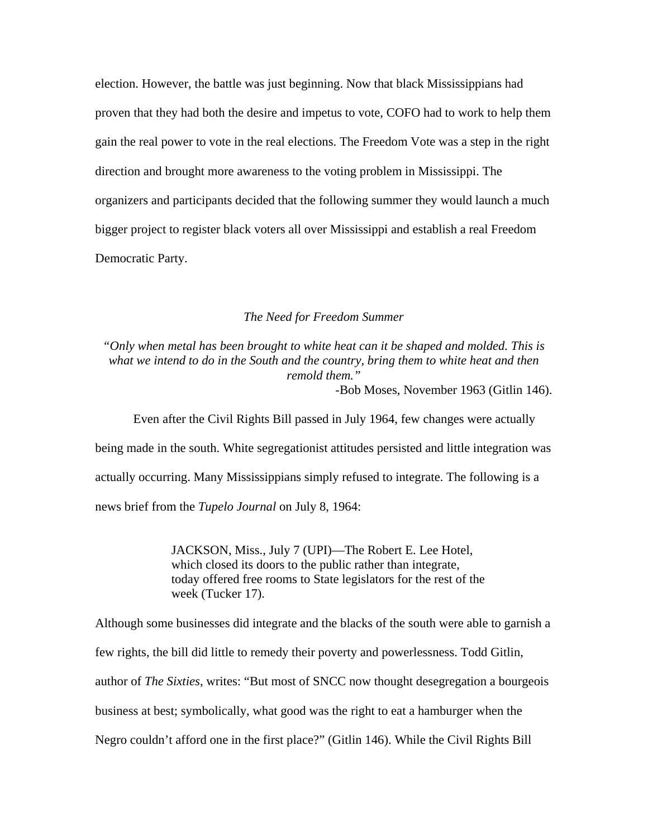election. However, the battle was just beginning. Now that black Mississippians had proven that they had both the desire and impetus to vote, COFO had to work to help them gain the real power to vote in the real elections. The Freedom Vote was a step in the right direction and brought more awareness to the voting problem in Mississippi. The organizers and participants decided that the following summer they would launch a much bigger project to register black voters all over Mississippi and establish a real Freedom Democratic Party.

## *The Need for Freedom Summer*

*"Only when metal has been brought to white heat can it be shaped and molded. This is what we intend to do in the South and the country, bring them to white heat and then remold them."*  -Bob Moses, November 1963 (Gitlin 146).

 Even after the Civil Rights Bill passed in July 1964, few changes were actually being made in the south. White segregationist attitudes persisted and little integration was actually occurring. Many Mississippians simply refused to integrate. The following is a news brief from the *Tupelo Journal* on July 8, 1964:

> JACKSON, Miss., July 7 (UPI)—The Robert E. Lee Hotel, which closed its doors to the public rather than integrate, today offered free rooms to State legislators for the rest of the week (Tucker 17).

Although some businesses did integrate and the blacks of the south were able to garnish a few rights, the bill did little to remedy their poverty and powerlessness. Todd Gitlin, author of *The Sixties*, writes: "But most of SNCC now thought desegregation a bourgeois business at best; symbolically, what good was the right to eat a hamburger when the Negro couldn't afford one in the first place?" (Gitlin 146). While the Civil Rights Bill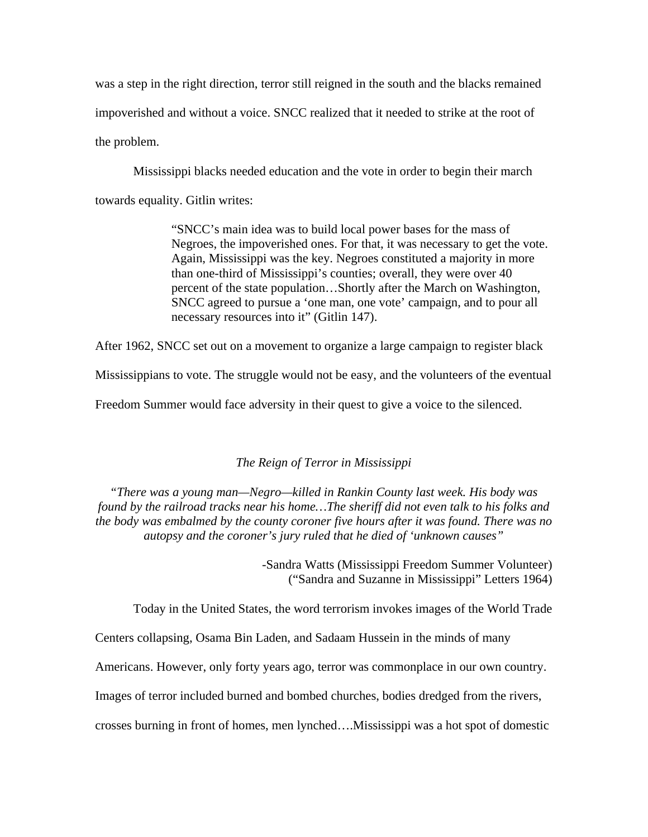was a step in the right direction, terror still reigned in the south and the blacks remained impoverished and without a voice. SNCC realized that it needed to strike at the root of the problem.

 Mississippi blacks needed education and the vote in order to begin their march towards equality. Gitlin writes:

> "SNCC's main idea was to build local power bases for the mass of Negroes, the impoverished ones. For that, it was necessary to get the vote. Again, Mississippi was the key. Negroes constituted a majority in more than one-third of Mississippi's counties; overall, they were over 40 percent of the state population…Shortly after the March on Washington, SNCC agreed to pursue a 'one man, one vote' campaign, and to pour all necessary resources into it" (Gitlin 147).

After 1962, SNCC set out on a movement to organize a large campaign to register black

Mississippians to vote. The struggle would not be easy, and the volunteers of the eventual

Freedom Summer would face adversity in their quest to give a voice to the silenced.

## *The Reign of Terror in Mississippi*

*"There was a young man—Negro—killed in Rankin County last week. His body was found by the railroad tracks near his home…The sheriff did not even talk to his folks and the body was embalmed by the county coroner five hours after it was found. There was no autopsy and the coroner's jury ruled that he died of 'unknown causes"* 

> -Sandra Watts (Mississippi Freedom Summer Volunteer) ("Sandra and Suzanne in Mississippi" Letters 1964)

Today in the United States, the word terrorism invokes images of the World Trade

Centers collapsing, Osama Bin Laden, and Sadaam Hussein in the minds of many

Americans. However, only forty years ago, terror was commonplace in our own country.

Images of terror included burned and bombed churches, bodies dredged from the rivers,

crosses burning in front of homes, men lynched….Mississippi was a hot spot of domestic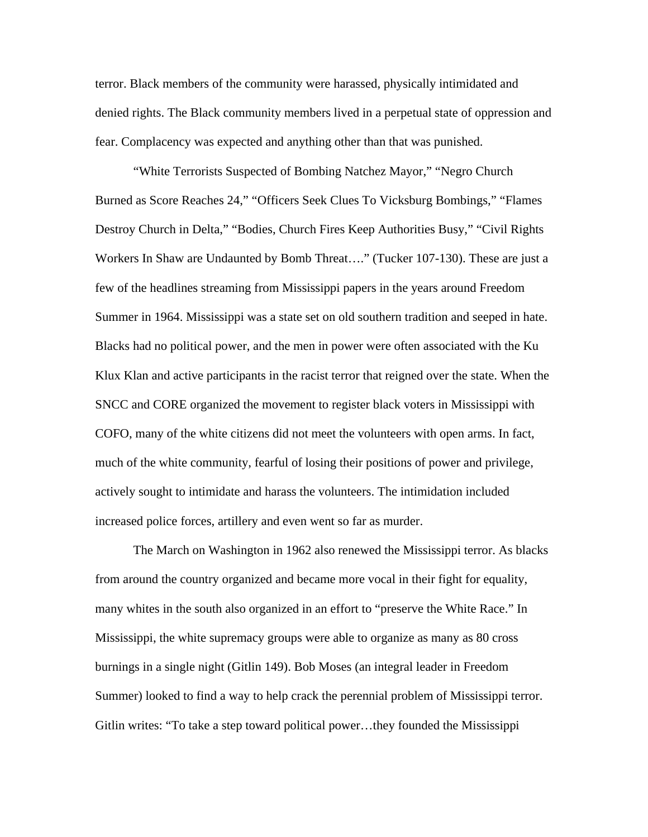terror. Black members of the community were harassed, physically intimidated and denied rights. The Black community members lived in a perpetual state of oppression and fear. Complacency was expected and anything other than that was punished.

 "White Terrorists Suspected of Bombing Natchez Mayor," "Negro Church Burned as Score Reaches 24," "Officers Seek Clues To Vicksburg Bombings," "Flames Destroy Church in Delta," "Bodies, Church Fires Keep Authorities Busy," "Civil Rights Workers In Shaw are Undaunted by Bomb Threat…." (Tucker 107-130). These are just a few of the headlines streaming from Mississippi papers in the years around Freedom Summer in 1964. Mississippi was a state set on old southern tradition and seeped in hate. Blacks had no political power, and the men in power were often associated with the Ku Klux Klan and active participants in the racist terror that reigned over the state. When the SNCC and CORE organized the movement to register black voters in Mississippi with COFO, many of the white citizens did not meet the volunteers with open arms. In fact, much of the white community, fearful of losing their positions of power and privilege, actively sought to intimidate and harass the volunteers. The intimidation included increased police forces, artillery and even went so far as murder.

 The March on Washington in 1962 also renewed the Mississippi terror. As blacks from around the country organized and became more vocal in their fight for equality, many whites in the south also organized in an effort to "preserve the White Race." In Mississippi, the white supremacy groups were able to organize as many as 80 cross burnings in a single night (Gitlin 149). Bob Moses (an integral leader in Freedom Summer) looked to find a way to help crack the perennial problem of Mississippi terror. Gitlin writes: "To take a step toward political power…they founded the Mississippi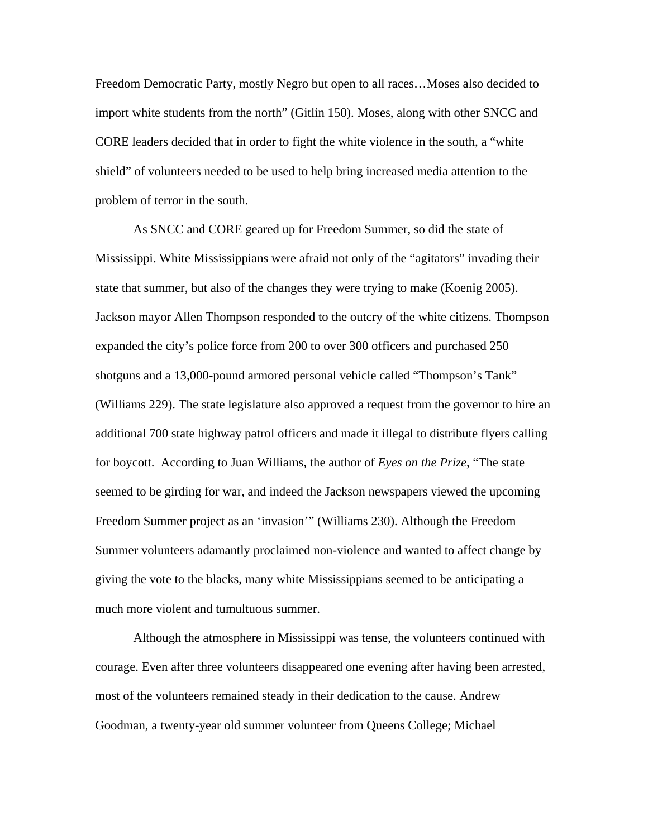Freedom Democratic Party, mostly Negro but open to all races…Moses also decided to import white students from the north" (Gitlin 150). Moses, along with other SNCC and CORE leaders decided that in order to fight the white violence in the south, a "white shield" of volunteers needed to be used to help bring increased media attention to the problem of terror in the south.

 As SNCC and CORE geared up for Freedom Summer, so did the state of Mississippi. White Mississippians were afraid not only of the "agitators" invading their state that summer, but also of the changes they were trying to make (Koenig 2005). Jackson mayor Allen Thompson responded to the outcry of the white citizens. Thompson expanded the city's police force from 200 to over 300 officers and purchased 250 shotguns and a 13,000-pound armored personal vehicle called "Thompson's Tank" (Williams 229). The state legislature also approved a request from the governor to hire an additional 700 state highway patrol officers and made it illegal to distribute flyers calling for boycott. According to Juan Williams, the author of *Eyes on the Prize*, "The state seemed to be girding for war, and indeed the Jackson newspapers viewed the upcoming Freedom Summer project as an 'invasion'" (Williams 230). Although the Freedom Summer volunteers adamantly proclaimed non-violence and wanted to affect change by giving the vote to the blacks, many white Mississippians seemed to be anticipating a much more violent and tumultuous summer.

Although the atmosphere in Mississippi was tense, the volunteers continued with courage. Even after three volunteers disappeared one evening after having been arrested, most of the volunteers remained steady in their dedication to the cause. Andrew Goodman, a twenty-year old summer volunteer from Queens College; Michael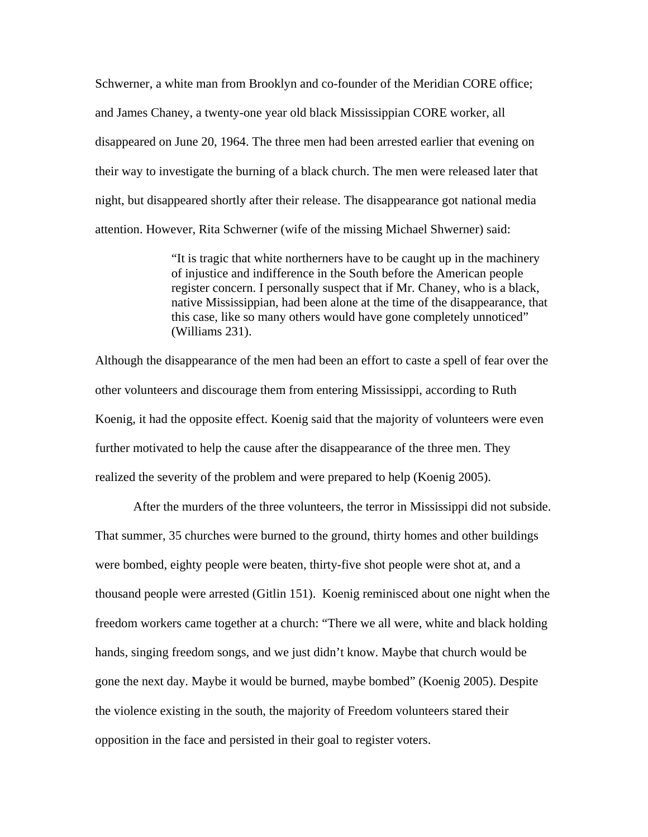Schwerner, a white man from Brooklyn and co-founder of the Meridian CORE office; and James Chaney, a twenty-one year old black Mississippian CORE worker, all disappeared on June 20, 1964. The three men had been arrested earlier that evening on their way to investigate the burning of a black church. The men were released later that night, but disappeared shortly after their release. The disappearance got national media attention. However, Rita Schwerner (wife of the missing Michael Shwerner) said:

> "It is tragic that white northerners have to be caught up in the machinery of injustice and indifference in the South before the American people register concern. I personally suspect that if Mr. Chaney, who is a black, native Mississippian, had been alone at the time of the disappearance, that this case, like so many others would have gone completely unnoticed" (Williams 231).

Although the disappearance of the men had been an effort to caste a spell of fear over the other volunteers and discourage them from entering Mississippi, according to Ruth Koenig, it had the opposite effect. Koenig said that the majority of volunteers were even further motivated to help the cause after the disappearance of the three men. They realized the severity of the problem and were prepared to help (Koenig 2005).

After the murders of the three volunteers, the terror in Mississippi did not subside. That summer, 35 churches were burned to the ground, thirty homes and other buildings were bombed, eighty people were beaten, thirty-five shot people were shot at, and a thousand people were arrested (Gitlin 151). Koenig reminisced about one night when the freedom workers came together at a church: "There we all were, white and black holding hands, singing freedom songs, and we just didn't know. Maybe that church would be gone the next day. Maybe it would be burned, maybe bombed" (Koenig 2005). Despite the violence existing in the south, the majority of Freedom volunteers stared their opposition in the face and persisted in their goal to register voters.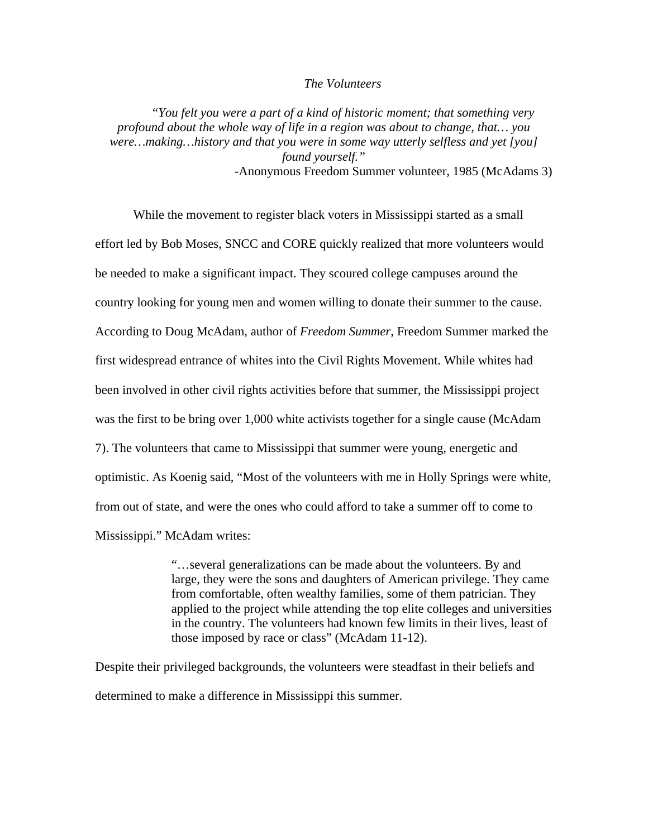#### *The Volunteers*

*"You felt you were a part of a kind of historic moment; that something very profound about the whole way of life in a region was about to change, that… you were…making…history and that you were in some way utterly selfless and yet [you] found yourself."*  -Anonymous Freedom Summer volunteer, 1985 (McAdams 3)

While the movement to register black voters in Mississippi started as a small effort led by Bob Moses, SNCC and CORE quickly realized that more volunteers would be needed to make a significant impact. They scoured college campuses around the country looking for young men and women willing to donate their summer to the cause. According to Doug McAdam, author of *Freedom Summer*, Freedom Summer marked the first widespread entrance of whites into the Civil Rights Movement. While whites had been involved in other civil rights activities before that summer, the Mississippi project was the first to be bring over 1,000 white activists together for a single cause (McAdam 7). The volunteers that came to Mississippi that summer were young, energetic and optimistic. As Koenig said, "Most of the volunteers with me in Holly Springs were white, from out of state, and were the ones who could afford to take a summer off to come to Mississippi." McAdam writes:

> "…several generalizations can be made about the volunteers. By and large, they were the sons and daughters of American privilege. They came from comfortable, often wealthy families, some of them patrician. They applied to the project while attending the top elite colleges and universities in the country. The volunteers had known few limits in their lives, least of those imposed by race or class" (McAdam 11-12).

Despite their privileged backgrounds, the volunteers were steadfast in their beliefs and determined to make a difference in Mississippi this summer.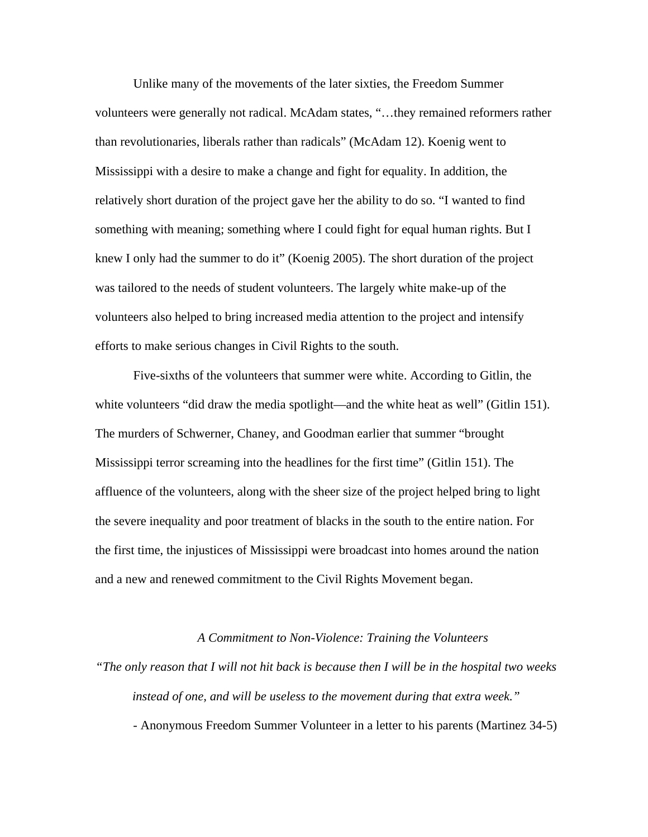Unlike many of the movements of the later sixties, the Freedom Summer volunteers were generally not radical. McAdam states, "…they remained reformers rather than revolutionaries, liberals rather than radicals" (McAdam 12). Koenig went to Mississippi with a desire to make a change and fight for equality. In addition, the relatively short duration of the project gave her the ability to do so. "I wanted to find something with meaning; something where I could fight for equal human rights. But I knew I only had the summer to do it" (Koenig 2005). The short duration of the project was tailored to the needs of student volunteers. The largely white make-up of the volunteers also helped to bring increased media attention to the project and intensify efforts to make serious changes in Civil Rights to the south.

Five-sixths of the volunteers that summer were white. According to Gitlin, the white volunteers "did draw the media spotlight—and the white heat as well" (Gitlin 151). The murders of Schwerner, Chaney, and Goodman earlier that summer "brought Mississippi terror screaming into the headlines for the first time" (Gitlin 151). The affluence of the volunteers, along with the sheer size of the project helped bring to light the severe inequality and poor treatment of blacks in the south to the entire nation. For the first time, the injustices of Mississippi were broadcast into homes around the nation and a new and renewed commitment to the Civil Rights Movement began.

#### *A Commitment to Non-Violence: Training the Volunteers*

*"The only reason that I will not hit back is because then I will be in the hospital two weeks instead of one, and will be useless to the movement during that extra week."* 

- Anonymous Freedom Summer Volunteer in a letter to his parents (Martinez 34-5)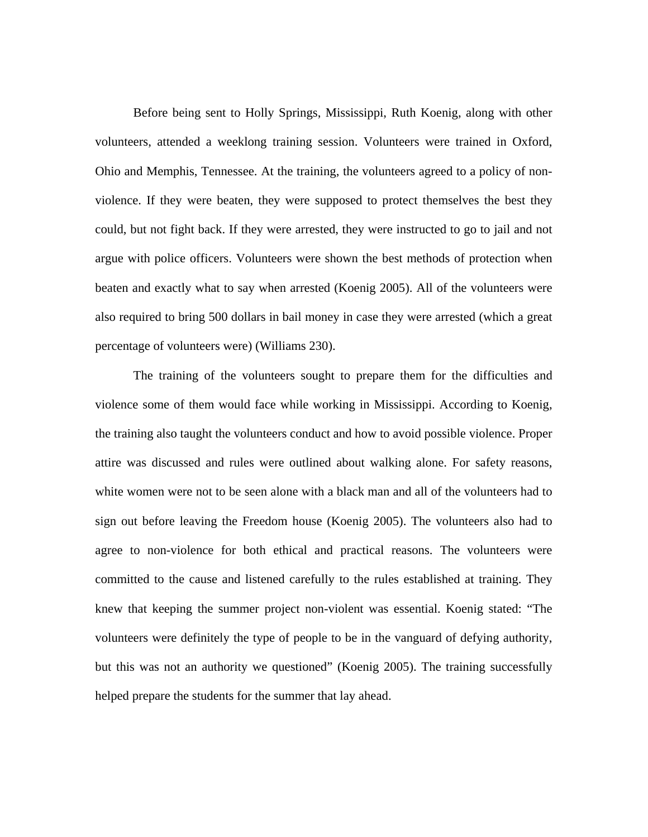Before being sent to Holly Springs, Mississippi, Ruth Koenig, along with other volunteers, attended a weeklong training session. Volunteers were trained in Oxford, Ohio and Memphis, Tennessee. At the training, the volunteers agreed to a policy of nonviolence. If they were beaten, they were supposed to protect themselves the best they could, but not fight back. If they were arrested, they were instructed to go to jail and not argue with police officers. Volunteers were shown the best methods of protection when beaten and exactly what to say when arrested (Koenig 2005). All of the volunteers were also required to bring 500 dollars in bail money in case they were arrested (which a great percentage of volunteers were) (Williams 230).

The training of the volunteers sought to prepare them for the difficulties and violence some of them would face while working in Mississippi. According to Koenig, the training also taught the volunteers conduct and how to avoid possible violence. Proper attire was discussed and rules were outlined about walking alone. For safety reasons, white women were not to be seen alone with a black man and all of the volunteers had to sign out before leaving the Freedom house (Koenig 2005). The volunteers also had to agree to non-violence for both ethical and practical reasons. The volunteers were committed to the cause and listened carefully to the rules established at training. They knew that keeping the summer project non-violent was essential. Koenig stated: "The volunteers were definitely the type of people to be in the vanguard of defying authority, but this was not an authority we questioned" (Koenig 2005). The training successfully helped prepare the students for the summer that lay ahead.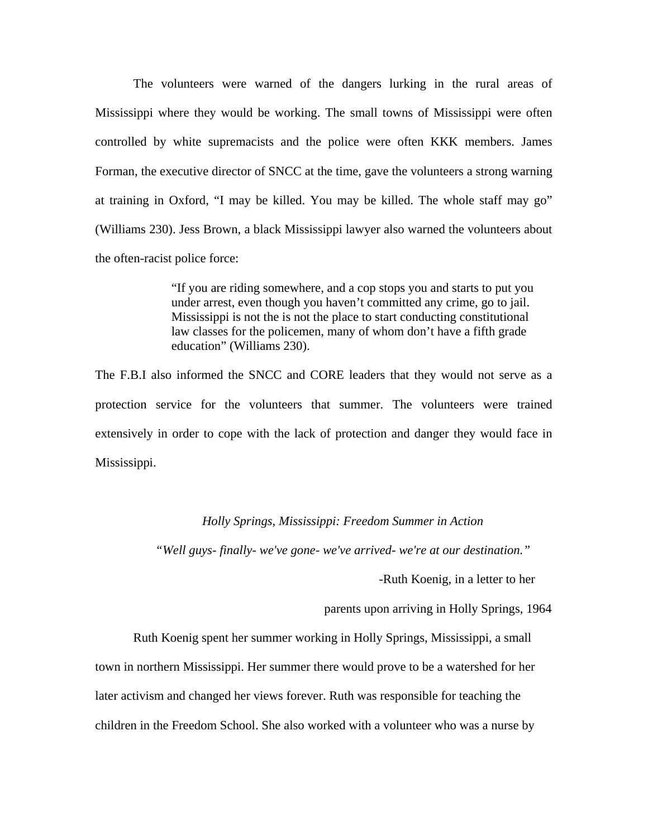The volunteers were warned of the dangers lurking in the rural areas of Mississippi where they would be working. The small towns of Mississippi were often controlled by white supremacists and the police were often KKK members. James Forman, the executive director of SNCC at the time, gave the volunteers a strong warning at training in Oxford, "I may be killed. You may be killed. The whole staff may go" (Williams 230). Jess Brown, a black Mississippi lawyer also warned the volunteers about the often-racist police force:

> "If you are riding somewhere, and a cop stops you and starts to put you under arrest, even though you haven't committed any crime, go to jail. Mississippi is not the is not the place to start conducting constitutional law classes for the policemen, many of whom don't have a fifth grade education" (Williams 230).

The F.B.I also informed the SNCC and CORE leaders that they would not serve as a protection service for the volunteers that summer. The volunteers were trained extensively in order to cope with the lack of protection and danger they would face in Mississippi.

#### *Holly Springs, Mississippi: Freedom Summer in Action*

*"Well guys- finally- we've gone- we've arrived- we're at our destination."* 

-Ruth Koenig, in a letter to her

parents upon arriving in Holly Springs, 1964

Ruth Koenig spent her summer working in Holly Springs, Mississippi, a small town in northern Mississippi. Her summer there would prove to be a watershed for her later activism and changed her views forever. Ruth was responsible for teaching the children in the Freedom School. She also worked with a volunteer who was a nurse by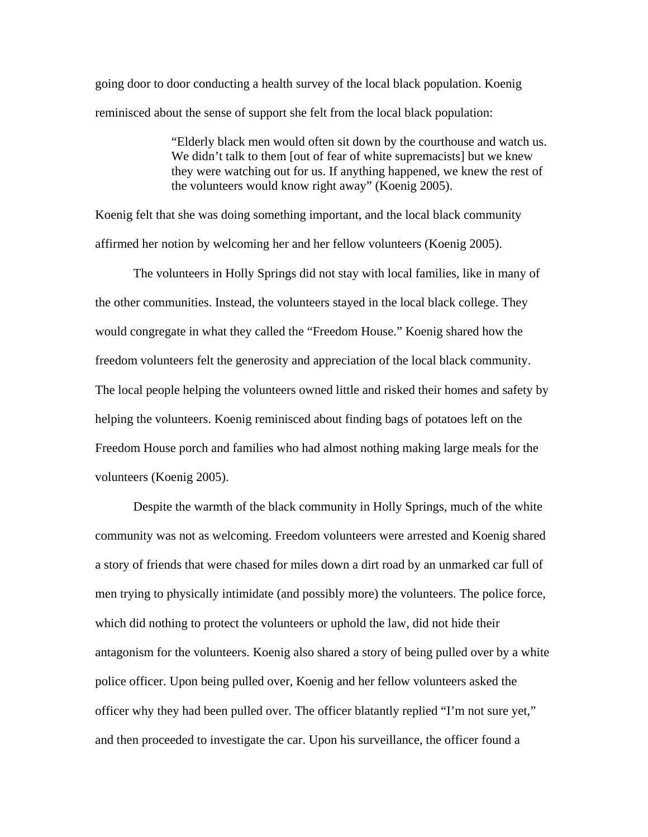going door to door conducting a health survey of the local black population. Koenig reminisced about the sense of support she felt from the local black population:

> "Elderly black men would often sit down by the courthouse and watch us. We didn't talk to them [out of fear of white supremacists] but we knew they were watching out for us. If anything happened, we knew the rest of the volunteers would know right away" (Koenig 2005).

Koenig felt that she was doing something important, and the local black community affirmed her notion by welcoming her and her fellow volunteers (Koenig 2005).

 The volunteers in Holly Springs did not stay with local families, like in many of the other communities. Instead, the volunteers stayed in the local black college. They would congregate in what they called the "Freedom House." Koenig shared how the freedom volunteers felt the generosity and appreciation of the local black community. The local people helping the volunteers owned little and risked their homes and safety by helping the volunteers. Koenig reminisced about finding bags of potatoes left on the Freedom House porch and families who had almost nothing making large meals for the volunteers (Koenig 2005).

 Despite the warmth of the black community in Holly Springs, much of the white community was not as welcoming. Freedom volunteers were arrested and Koenig shared a story of friends that were chased for miles down a dirt road by an unmarked car full of men trying to physically intimidate (and possibly more) the volunteers. The police force, which did nothing to protect the volunteers or uphold the law, did not hide their antagonism for the volunteers. Koenig also shared a story of being pulled over by a white police officer. Upon being pulled over, Koenig and her fellow volunteers asked the officer why they had been pulled over. The officer blatantly replied "I'm not sure yet," and then proceeded to investigate the car. Upon his surveillance, the officer found a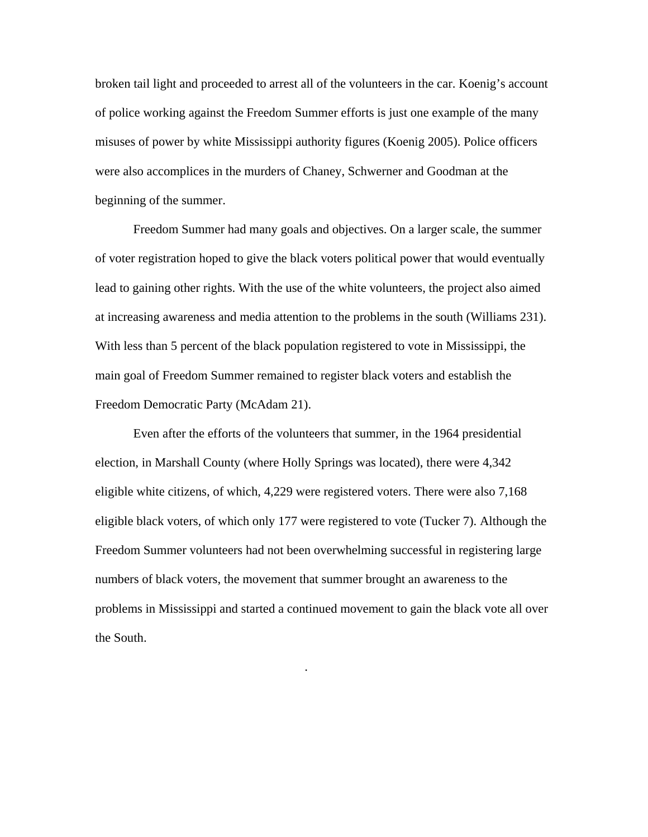broken tail light and proceeded to arrest all of the volunteers in the car. Koenig's account of police working against the Freedom Summer efforts is just one example of the many misuses of power by white Mississippi authority figures (Koenig 2005). Police officers were also accomplices in the murders of Chaney, Schwerner and Goodman at the beginning of the summer.

Freedom Summer had many goals and objectives. On a larger scale, the summer of voter registration hoped to give the black voters political power that would eventually lead to gaining other rights. With the use of the white volunteers, the project also aimed at increasing awareness and media attention to the problems in the south (Williams 231). With less than 5 percent of the black population registered to vote in Mississippi, the main goal of Freedom Summer remained to register black voters and establish the Freedom Democratic Party (McAdam 21).

Even after the efforts of the volunteers that summer, in the 1964 presidential election, in Marshall County (where Holly Springs was located), there were 4,342 eligible white citizens, of which, 4,229 were registered voters. There were also 7,168 eligible black voters, of which only 177 were registered to vote (Tucker 7). Although the Freedom Summer volunteers had not been overwhelming successful in registering large numbers of black voters, the movement that summer brought an awareness to the problems in Mississippi and started a continued movement to gain the black vote all over the South.

.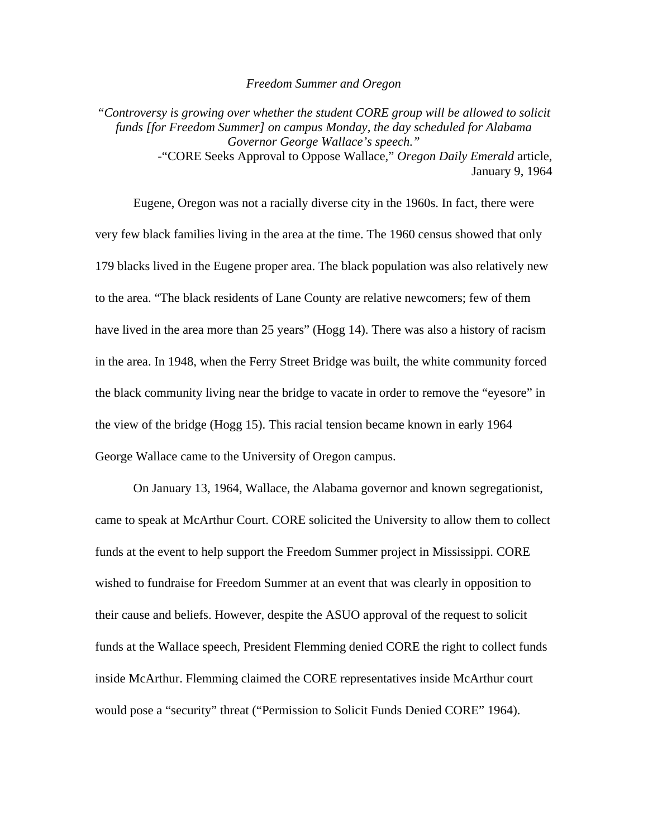#### *Freedom Summer and Oregon*

*"Controversy is growing over whether the student CORE group will be allowed to solicit funds [for Freedom Summer] on campus Monday, the day scheduled for Alabama Governor George Wallace's speech."*  -"CORE Seeks Approval to Oppose Wallace," *Oregon Daily Emerald* article, January 9, 1964

Eugene, Oregon was not a racially diverse city in the 1960s. In fact, there were very few black families living in the area at the time. The 1960 census showed that only 179 blacks lived in the Eugene proper area. The black population was also relatively new to the area. "The black residents of Lane County are relative newcomers; few of them have lived in the area more than 25 years" (Hogg 14). There was also a history of racism in the area. In 1948, when the Ferry Street Bridge was built, the white community forced the black community living near the bridge to vacate in order to remove the "eyesore" in the view of the bridge (Hogg 15). This racial tension became known in early 1964 George Wallace came to the University of Oregon campus.

On January 13, 1964, Wallace, the Alabama governor and known segregationist, came to speak at McArthur Court. CORE solicited the University to allow them to collect funds at the event to help support the Freedom Summer project in Mississippi. CORE wished to fundraise for Freedom Summer at an event that was clearly in opposition to their cause and beliefs. However, despite the ASUO approval of the request to solicit funds at the Wallace speech, President Flemming denied CORE the right to collect funds inside McArthur. Flemming claimed the CORE representatives inside McArthur court would pose a "security" threat ("Permission to Solicit Funds Denied CORE" 1964).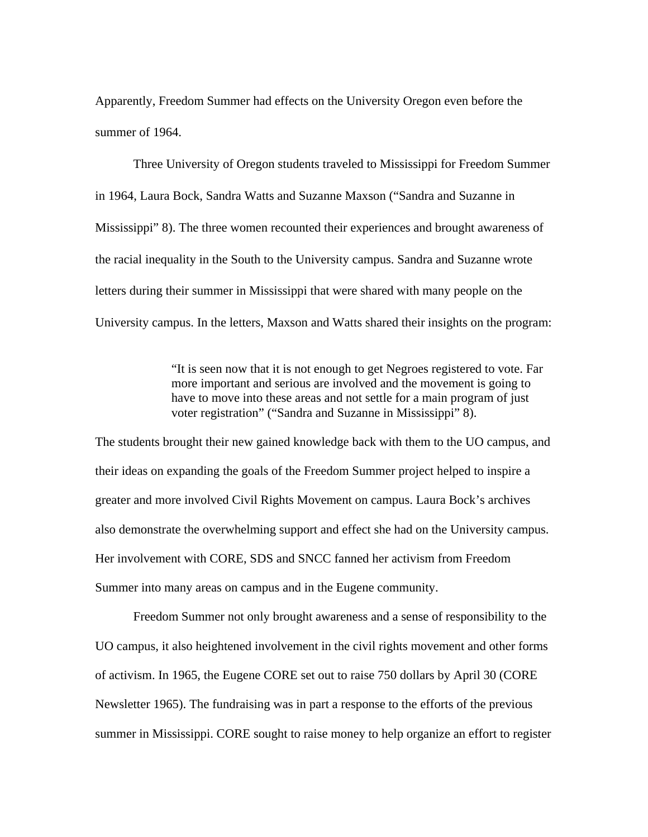Apparently, Freedom Summer had effects on the University Oregon even before the summer of 1964.

Three University of Oregon students traveled to Mississippi for Freedom Summer in 1964, Laura Bock, Sandra Watts and Suzanne Maxson ("Sandra and Suzanne in Mississippi" 8). The three women recounted their experiences and brought awareness of the racial inequality in the South to the University campus. Sandra and Suzanne wrote letters during their summer in Mississippi that were shared with many people on the University campus. In the letters, Maxson and Watts shared their insights on the program:

> "It is seen now that it is not enough to get Negroes registered to vote. Far more important and serious are involved and the movement is going to have to move into these areas and not settle for a main program of just voter registration" ("Sandra and Suzanne in Mississippi" 8).

The students brought their new gained knowledge back with them to the UO campus, and their ideas on expanding the goals of the Freedom Summer project helped to inspire a greater and more involved Civil Rights Movement on campus. Laura Bock's archives also demonstrate the overwhelming support and effect she had on the University campus. Her involvement with CORE, SDS and SNCC fanned her activism from Freedom Summer into many areas on campus and in the Eugene community.

Freedom Summer not only brought awareness and a sense of responsibility to the UO campus, it also heightened involvement in the civil rights movement and other forms of activism. In 1965, the Eugene CORE set out to raise 750 dollars by April 30 (CORE Newsletter 1965). The fundraising was in part a response to the efforts of the previous summer in Mississippi. CORE sought to raise money to help organize an effort to register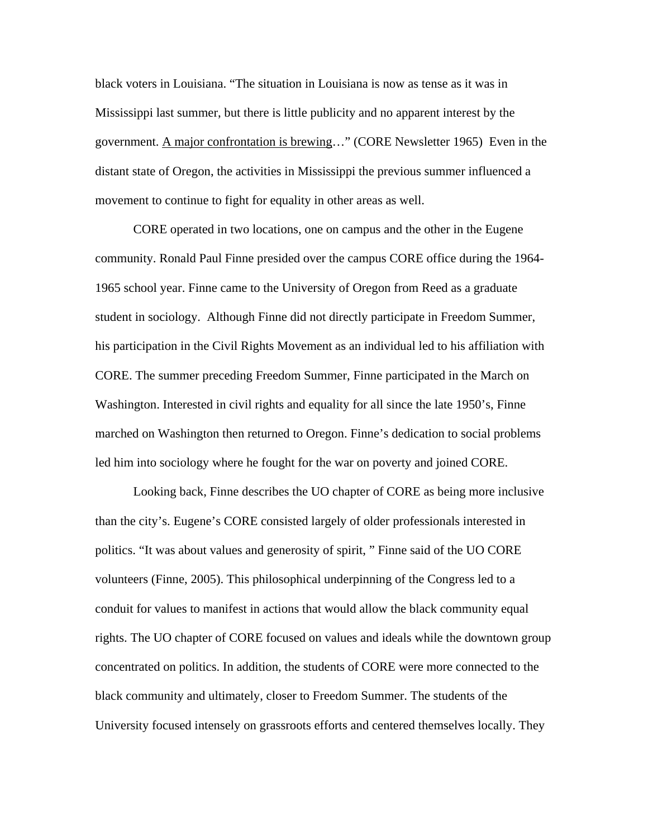black voters in Louisiana. "The situation in Louisiana is now as tense as it was in Mississippi last summer, but there is little publicity and no apparent interest by the government. A major confrontation is brewing…" (CORE Newsletter 1965) Even in the distant state of Oregon, the activities in Mississippi the previous summer influenced a movement to continue to fight for equality in other areas as well.

CORE operated in two locations, one on campus and the other in the Eugene community. Ronald Paul Finne presided over the campus CORE office during the 1964- 1965 school year. Finne came to the University of Oregon from Reed as a graduate student in sociology. Although Finne did not directly participate in Freedom Summer, his participation in the Civil Rights Movement as an individual led to his affiliation with CORE. The summer preceding Freedom Summer, Finne participated in the March on Washington. Interested in civil rights and equality for all since the late 1950's, Finne marched on Washington then returned to Oregon. Finne's dedication to social problems led him into sociology where he fought for the war on poverty and joined CORE.

Looking back, Finne describes the UO chapter of CORE as being more inclusive than the city's. Eugene's CORE consisted largely of older professionals interested in politics. "It was about values and generosity of spirit, " Finne said of the UO CORE volunteers (Finne, 2005). This philosophical underpinning of the Congress led to a conduit for values to manifest in actions that would allow the black community equal rights. The UO chapter of CORE focused on values and ideals while the downtown group concentrated on politics. In addition, the students of CORE were more connected to the black community and ultimately, closer to Freedom Summer. The students of the University focused intensely on grassroots efforts and centered themselves locally. They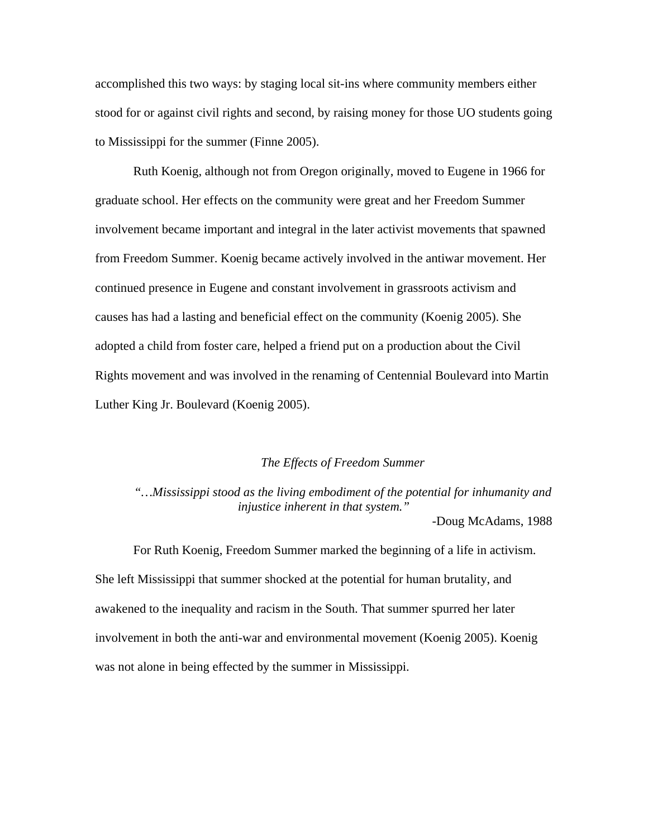accomplished this two ways: by staging local sit-ins where community members either stood for or against civil rights and second, by raising money for those UO students going to Mississippi for the summer (Finne 2005).

Ruth Koenig, although not from Oregon originally, moved to Eugene in 1966 for graduate school. Her effects on the community were great and her Freedom Summer involvement became important and integral in the later activist movements that spawned from Freedom Summer. Koenig became actively involved in the antiwar movement. Her continued presence in Eugene and constant involvement in grassroots activism and causes has had a lasting and beneficial effect on the community (Koenig 2005). She adopted a child from foster care, helped a friend put on a production about the Civil Rights movement and was involved in the renaming of Centennial Boulevard into Martin Luther King Jr. Boulevard (Koenig 2005).

### *The Effects of Freedom Summer*

*"…Mississippi stood as the living embodiment of the potential for inhumanity and injustice inherent in that system."* 

-Doug McAdams, 1988

For Ruth Koenig, Freedom Summer marked the beginning of a life in activism. She left Mississippi that summer shocked at the potential for human brutality, and awakened to the inequality and racism in the South. That summer spurred her later involvement in both the anti-war and environmental movement (Koenig 2005). Koenig was not alone in being effected by the summer in Mississippi.